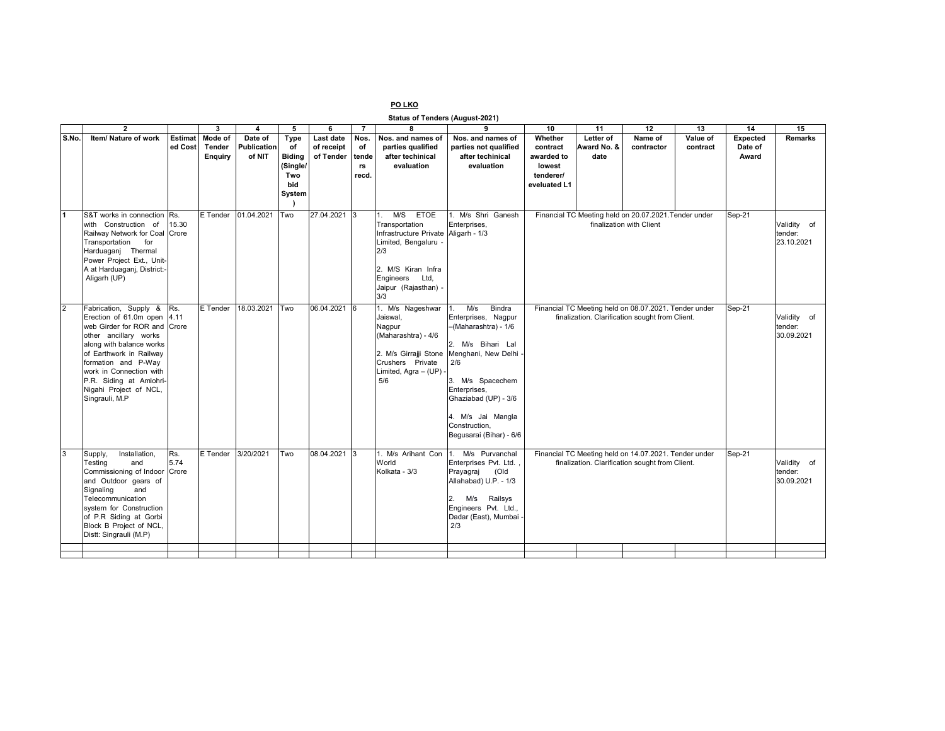## **PO LKO**

**Status of Tenders (August-2021)**

|                | $\overline{2}$                                                                                                                                                                                                                                                                                |                           | 3                                   | 4                                | 5                                       | 6                                    | $\overline{7}$            | $\overline{\mathbf{8}}$                                                                                                                                                                       | 9                                                                                                                                                                                                                                                                          | 10                                          | 11                                                                                                       | 12                    | 13                                   | 14                                  | 15             |
|----------------|-----------------------------------------------------------------------------------------------------------------------------------------------------------------------------------------------------------------------------------------------------------------------------------------------|---------------------------|-------------------------------------|----------------------------------|-----------------------------------------|--------------------------------------|---------------------------|-----------------------------------------------------------------------------------------------------------------------------------------------------------------------------------------------|----------------------------------------------------------------------------------------------------------------------------------------------------------------------------------------------------------------------------------------------------------------------------|---------------------------------------------|----------------------------------------------------------------------------------------------------------|-----------------------|--------------------------------------|-------------------------------------|----------------|
| S.No.          | Item/ Nature of work                                                                                                                                                                                                                                                                          | <b>Estimat</b><br>ed Cost | Mode of<br>Tender<br><b>Enquiry</b> | Date of<br>Publication<br>of NIT | Type<br>of<br><b>Biding</b><br>(Single/ | Last date<br>of receipt<br>of Tender | Nos.<br>оf<br>tende<br>rs | Nos, and names of<br>parties qualified<br>after techinical<br>evaluation                                                                                                                      | Nos. and names of<br>parties not qualified<br>after techinical<br>evaluation                                                                                                                                                                                               | Whether<br>contract<br>awarded to<br>lowest | Letter of<br>Award No. &<br>date                                                                         | Name of<br>contractor | Value of<br>contract                 | <b>Expected</b><br>Date of<br>Award | <b>Remarks</b> |
|                |                                                                                                                                                                                                                                                                                               |                           |                                     |                                  | Two<br>bid<br>System                    |                                      | recd.                     |                                                                                                                                                                                               |                                                                                                                                                                                                                                                                            | tenderer/<br>eveluated L1                   |                                                                                                          |                       |                                      |                                     |                |
| $\blacksquare$ | S&T works in connection<br>with Construction of<br>Railway Network for Coal Crore<br>Transportation for<br>Harduaganj Thermal<br>Power Project Ext., Unit-<br>A at Harduaganj, District:-<br>Aligarh (UP)                                                                                     | Rs.<br>15.30              | E Tender                            | 01.04.2021                       | Two                                     | 27.04.2021 3                         |                           | M/S ETOE<br>$\mathbf{1}$ .<br>Transportation<br>Infrastructure Private Aligarh - 1/3<br>Limited, Bengaluru -<br>2/3<br>2. M/S Kiran Infra<br>Engineers<br>Ltd.<br>Jaipur (Rajasthan) -<br>3/3 | 1. M/s Shri Ganesh<br>Enterprises,                                                                                                                                                                                                                                         |                                             | Financial TC Meeting held on 20.07.2021. Tender under<br>finalization with Client                        | Sep-21                | Validity of<br>tender:<br>23.10.2021 |                                     |                |
| $\overline{2}$ | Fabrication, Supply &<br>Erection of 61.0m open 4.11<br>web Girder for ROR and Crore<br>other ancillary works<br>along with balance works<br>of Earthwork in Railway<br>formation and P-Way<br>work in Connection with<br>P.R. Siding at Amlohri-<br>Nigahi Project of NCL,<br>Singrauli, M.P | Rs.                       | E Tender                            | 18.03.2021                       | Two                                     | 06.04.2021 6                         |                           | 1. M/s Nageshwar<br>Jaiswal,<br>Nagpur<br>(Maharashtra) - 4/6<br>Crushers Private<br>Limited, Agra - (UP) -<br>5/6                                                                            | M/s<br>Bindra<br>1.<br>Enterprises, Nagpur<br>-(Maharashtra) - 1/6<br>2. M/s Bihari Lal<br>2. M/s Girrajji Stone Menghani, New Delhi -<br>2/6<br>3. M/s Spacechem<br>Enterprises,<br>Ghaziabad (UP) - 3/6<br>4. M/s Jai Mangla<br>Construction.<br>Begusarai (Bihar) - 6/6 |                                             | Financial TC Meeting held on 08.07.2021. Tender under<br>finalization. Clarification sought from Client. | Sep-21                | Validity of<br>tender:<br>30.09.2021 |                                     |                |
| 3              | Installation,<br>Supply,<br>and<br>Testina<br>Commissioning of Indoor<br>and Outdoor gears of<br>Signaling<br>and<br>Telecommunication<br>system for Construction<br>of P.R Siding at Gorbi<br>Block B Project of NCL,<br>Distt: Singrauli (M.P)                                              | Rs.<br>5.74<br>Crore      | E Tender                            | 3/20/2021                        | Two                                     | 08.04.2021 3                         |                           | 1. M/s Arihant Con<br>World<br>Kolkata - 3/3                                                                                                                                                  | 1. M/s Purvanchal<br>Enterprises Pvt. Ltd.<br>Prayagraj<br>(Old<br>Allahabad) U.P. - 1/3<br>2.<br>Railsys<br>M/s<br>Engineers Pvt. Ltd.,<br>Dadar (East), Mumbai -<br>2/3                                                                                                  |                                             | Financial TC Meeting held on 14.07.2021. Tender under<br>finalization. Clarification sought from Client. | Sep-21                | Validity of<br>tender:<br>30.09.2021 |                                     |                |
|                |                                                                                                                                                                                                                                                                                               |                           |                                     |                                  |                                         |                                      |                           |                                                                                                                                                                                               |                                                                                                                                                                                                                                                                            |                                             |                                                                                                          |                       |                                      |                                     |                |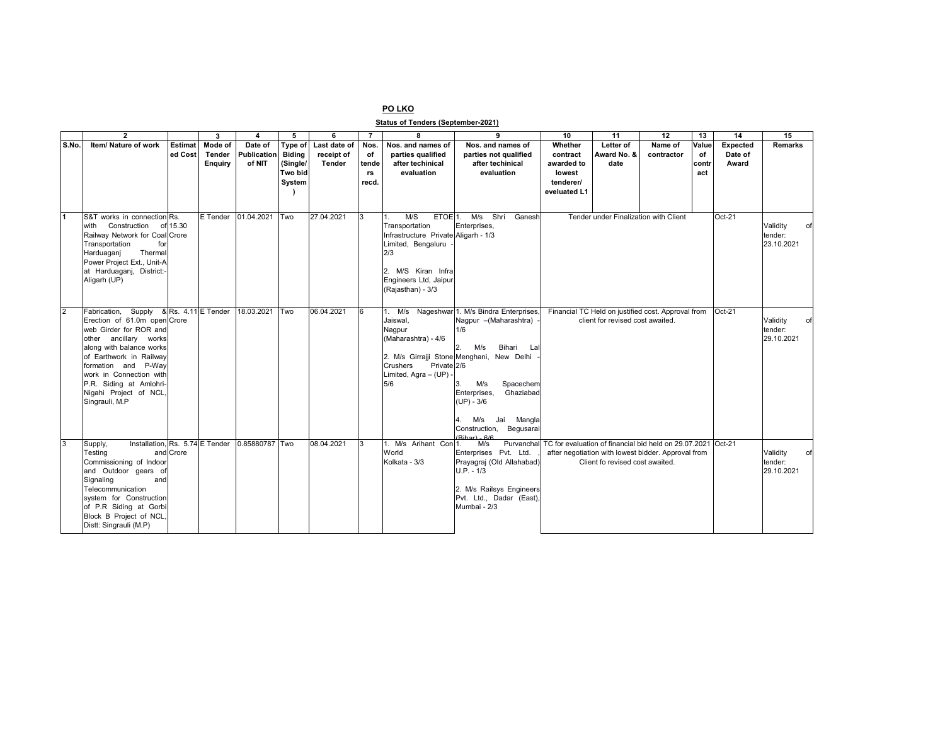## **PO LKO**

**Status of Tenders (September-2021)**

|                | $\overline{2}$                                          |                | $\overline{\mathbf{3}}$ | $\overline{\mathbf{A}}$ | 5             | 6            | $\overline{7}$ | 8                                                 | 9                                                    | 10           | 11                                    | 12                                                                       | 13    | 14              | 15             |
|----------------|---------------------------------------------------------|----------------|-------------------------|-------------------------|---------------|--------------|----------------|---------------------------------------------------|------------------------------------------------------|--------------|---------------------------------------|--------------------------------------------------------------------------|-------|-----------------|----------------|
| S.No.          | Item/ Nature of work                                    | <b>Estimat</b> | Mode of                 | Date of                 | Type of       | Last date of | <b>Nos</b>     | Nos. and names of                                 | Nos. and names of                                    | Whether      | Letter of                             | Name of                                                                  | Value | <b>Expected</b> | <b>Remarks</b> |
|                |                                                         | ed Cost        | Tender                  | Publication             | <b>Biding</b> | receipt of   | оf             | parties qualified                                 | parties not qualified                                | contract     | Award No. &                           | contractor                                                               | of    | Date of         |                |
|                |                                                         |                | <b>Enquiry</b>          | of NIT                  | (Single/      | Tender       | tende          | after techinical                                  | after techinical                                     | awarded to   | date                                  |                                                                          | contr | Award           |                |
|                |                                                         |                |                         |                         | Two bid       |              | rs             | evaluation                                        | evaluation                                           | lowest       |                                       |                                                                          | act   |                 |                |
|                |                                                         |                |                         |                         | System        |              | recd.          |                                                   |                                                      | tenderer/    |                                       |                                                                          |       |                 |                |
|                |                                                         |                |                         |                         |               |              |                |                                                   |                                                      | eveluated L1 |                                       |                                                                          |       |                 |                |
|                |                                                         |                |                         |                         |               |              |                |                                                   |                                                      |              |                                       |                                                                          |       |                 |                |
|                | S&T works in connection Rs.                             |                | E Tender                | 01.04.2021              | Two           | 27.04.2021   |                | M/S<br>ETOE <sup>1</sup> .                        | M/s Shri<br>Ganesh                                   |              | Tender under Finalization with Client |                                                                          |       | $Oct-21$        |                |
|                | Construction<br>with                                    | of 15.30       |                         |                         |               |              |                | Transportation                                    | Enterprises,                                         |              |                                       |                                                                          |       |                 | Validity       |
|                | Railway Network for Coal Crore                          |                |                         |                         |               |              |                | Infrastructure Private Aligarh - 1/3              |                                                      |              |                                       |                                                                          |       |                 | tender:        |
|                | Transportation<br>for                                   |                |                         |                         |               |              |                | Limited, Bengaluru                                |                                                      |              |                                       |                                                                          |       |                 | 23.10.2021     |
|                | Thermal<br>Harduaganj                                   |                |                         |                         |               |              |                | 2/3                                               |                                                      |              |                                       |                                                                          |       |                 |                |
|                | Power Project Ext., Unit-A<br>at Harduaganj, District:- |                |                         |                         |               |              |                | 2. M/S Kiran Infra                                |                                                      |              |                                       |                                                                          |       |                 |                |
|                | Aligarh (UP)                                            |                |                         |                         |               |              |                | Engineers Ltd, Jaipur                             |                                                      |              |                                       |                                                                          |       |                 |                |
|                |                                                         |                |                         |                         |               |              |                | (Rajasthan) - 3/3                                 |                                                      |              |                                       |                                                                          |       |                 |                |
|                |                                                         |                |                         |                         |               |              |                |                                                   |                                                      |              |                                       |                                                                          |       |                 |                |
| $\overline{2}$ | Fabrication, Supply                                     |                | & Rs. 4.11 E Tender     | 18.03.2021              | Two           | 06.04.2021   |                |                                                   | 1. M/s Nageshwar 1. M/s Bindra Enterprises,          |              |                                       | Financial TC Held on justified cost. Approval from                       |       | $Oct-21$        |                |
|                | Erection of 61.0m open Crore                            |                |                         |                         |               |              |                | Jaiswal,                                          | Nagpur - (Maharashtra)                               |              | client for revised cost awaited.      |                                                                          |       |                 | Validity       |
|                | web Girder for ROR and                                  |                |                         |                         |               |              |                | Nagpur                                            | 1/6                                                  |              |                                       |                                                                          |       |                 | tender:        |
|                | other ancillary works                                   |                |                         |                         |               |              |                | (Maharashtra) - 4/6                               |                                                      |              |                                       |                                                                          |       |                 | 29.10.2021     |
|                | along with balance works                                |                |                         |                         |               |              |                |                                                   | M/s<br>Bihari<br>Lal                                 |              |                                       |                                                                          |       |                 |                |
|                | of Earthwork in Railway                                 |                |                         |                         |               |              |                |                                                   | 2. M/s Girrajji Stone Menghani, New Delhi            |              |                                       |                                                                          |       |                 |                |
|                | formation and P-Way<br>work in Connection with          |                |                         |                         |               |              |                | Private 2/6<br>Crushers<br>Limited, Agra - (UP) - |                                                      |              |                                       |                                                                          |       |                 |                |
|                | P.R. Siding at Amlohri-                                 |                |                         |                         |               |              |                | 5/6                                               | M/s<br>Spacechem                                     |              |                                       |                                                                          |       |                 |                |
|                | Nigahi Project of NCL,                                  |                |                         |                         |               |              |                |                                                   | Enterprises,<br>Ghaziabad                            |              |                                       |                                                                          |       |                 |                |
|                | Singrauli, M.P                                          |                |                         |                         |               |              |                |                                                   | $(UP) - 3/6$                                         |              |                                       |                                                                          |       |                 |                |
|                |                                                         |                |                         |                         |               |              |                |                                                   |                                                      |              |                                       |                                                                          |       |                 |                |
|                |                                                         |                |                         |                         |               |              |                |                                                   | Jai Mangla<br>M/s<br>4.                              |              |                                       |                                                                          |       |                 |                |
|                |                                                         |                |                         |                         |               |              |                |                                                   | Construction, Begusarai<br>$(Rihar) - 6/6$           |              |                                       |                                                                          |       |                 |                |
| 3              | Installation, Rs. 5.74 E Tender<br>Supply,              |                |                         | 0.85880787 Two          |               | 08.04.2021   | l3             | 1. M/s Arihant Con 1.                             | M/s                                                  |              |                                       | Purvanchall TC for evaluation of financial bid held on 29.07.2021 Oct-21 |       |                 |                |
|                | Testing<br>and                                          | Crore          |                         |                         |               |              |                | World                                             | Enterprises Pvt. Ltd.                                |              |                                       | after negotiation with lowest bidder. Approval from                      |       |                 | Validity       |
|                | Commissioning of Indoor                                 |                |                         |                         |               |              |                | Kolkata - 3/3                                     | Prayagraj (Old Allahabad)                            |              | Client fo revised cost awaited.       |                                                                          |       |                 | tender:        |
|                | and Outdoor gears of                                    |                |                         |                         |               |              |                |                                                   | $U.P. - 1/3$                                         |              |                                       |                                                                          |       |                 | 29.10.2021     |
|                | Signaling<br>and                                        |                |                         |                         |               |              |                |                                                   |                                                      |              |                                       |                                                                          |       |                 |                |
|                | Telecommunication<br>system for Construction            |                |                         |                         |               |              |                |                                                   | 2. M/s Railsys Engineers<br>Pvt. Ltd., Dadar (East), |              |                                       |                                                                          |       |                 |                |
|                | of P.R Siding at Gorbi                                  |                |                         |                         |               |              |                |                                                   | Mumbai - 2/3                                         |              |                                       |                                                                          |       |                 |                |
|                | Block B Project of NCL,                                 |                |                         |                         |               |              |                |                                                   |                                                      |              |                                       |                                                                          |       |                 |                |
|                | Distt: Singrauli (M.P)                                  |                |                         |                         |               |              |                |                                                   |                                                      |              |                                       |                                                                          |       |                 |                |
|                |                                                         |                |                         |                         |               |              |                |                                                   |                                                      |              |                                       |                                                                          |       |                 |                |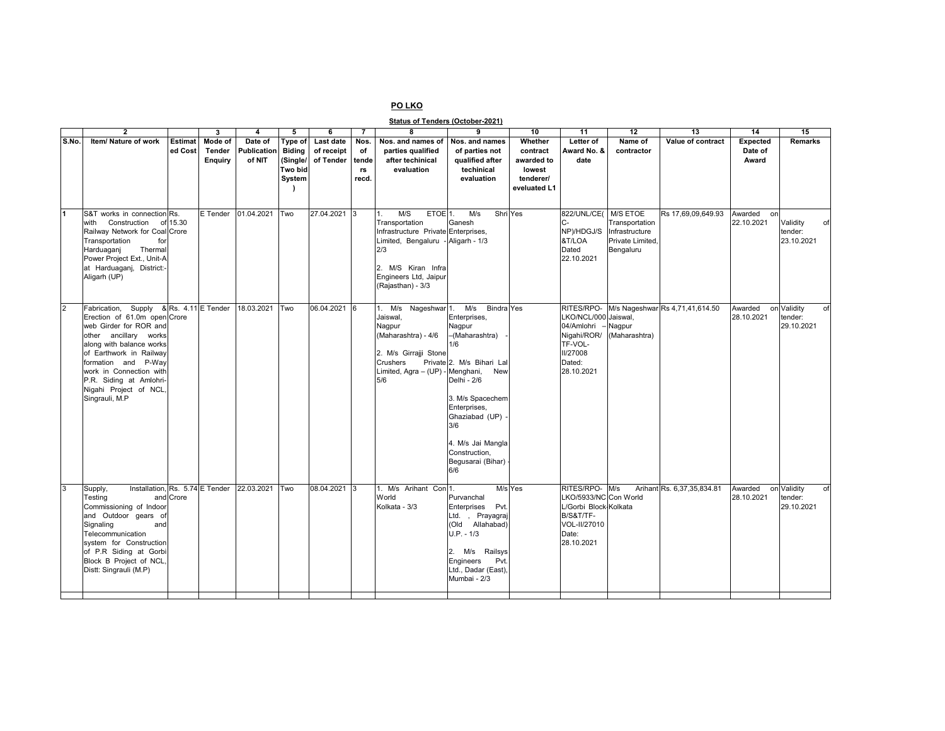## **PO LKO**

**Status of Tenders (October-2021)**

|                | $\overline{2}$                                                                                                                                                                                                                                                                                             |                    | 3                                   | 4                                | 5                                                         | 6                                    | $\overline{7}$                     | 8                                                                                                                                                                                          | 9                                                                                                                                                                                                                                                             | 10                                                                       | 11                                                                                                                   | 12                                                                | 13                                         | 14                           | 15                                         |
|----------------|------------------------------------------------------------------------------------------------------------------------------------------------------------------------------------------------------------------------------------------------------------------------------------------------------------|--------------------|-------------------------------------|----------------------------------|-----------------------------------------------------------|--------------------------------------|------------------------------------|--------------------------------------------------------------------------------------------------------------------------------------------------------------------------------------------|---------------------------------------------------------------------------------------------------------------------------------------------------------------------------------------------------------------------------------------------------------------|--------------------------------------------------------------------------|----------------------------------------------------------------------------------------------------------------------|-------------------------------------------------------------------|--------------------------------------------|------------------------------|--------------------------------------------|
| S.No.          | Item/ Nature of work                                                                                                                                                                                                                                                                                       | Estimat<br>ed Cost | Mode of<br>Tender<br><b>Enquiry</b> | Date of<br>Publication<br>of NIT | Type of<br><b>Biding</b><br>(Single/<br>Two bid<br>System | Last date<br>of receipt<br>of Tender | Nos.<br>of<br>tende<br>rs<br>recd. | Nos. and names of<br>parties qualified<br>after techinical<br>evaluation                                                                                                                   | Nos. and names<br>of parties not<br>qualified after<br>techinical<br>evaluation                                                                                                                                                                               | Whether<br>contract<br>awarded to<br>lowest<br>tenderer/<br>eveluated L1 | Letter of<br>Award No. &<br>date                                                                                     | Name of<br>contractor                                             | Value of contract                          | Expected<br>Date of<br>Award | Remarks                                    |
| $\blacksquare$ | S&T works in connection Rs.<br>with Construction<br>Railway Network for Coal Crore<br>Transportation<br>for<br>Thermal<br>Harduaganj<br>Power Project Ext., Unit-A<br>at Harduaganj, District:-<br>Aligarh (UP)                                                                                            | of 15.30           | E Tender                            | 01.04.2021                       | Two                                                       | 27.04.2021 3                         |                                    | M/S<br>ETOE <sup>1</sup> .<br>1.<br>Transportation<br>Infrastructure Private Enterprises,<br>Limited, Bengaluru<br>2/3<br>2. M/S Kiran Infra<br>Engineers Ltd, Jaipur<br>(Rajasthan) - 3/3 | M/s<br>Shri Yes<br>Ganesh<br>- Aligarh - $1/3$                                                                                                                                                                                                                |                                                                          | 822/UNL/CE( M/S ETOE<br>C-<br>NP)/HDGJ/S<br>&T/LOA<br>Dated<br>22.10.2021                                            | Transportation<br>Infrastructure<br>Private Limited.<br>Bengaluru | Rs 17,69,09,649.93                         | Awarded<br>on<br>22.10.2021  | Validity<br>of<br>tender:<br>23.10.2021    |
| $\overline{2}$ | Fabrication, Supply & Rs. 4.11 E Tender<br>Erection of 61.0m open Crore<br>web Girder for ROR and<br>other ancillary works<br>along with balance works<br>of Earthwork in Railway<br>formation and P-Way<br>work in Connection with<br>P.R. Siding at Amlohri-<br>Nigahi Project of NCL,<br>Singrauli, M.P |                    |                                     | 18.03.2021                       | <b>Two</b>                                                | 06.04.2021 6                         |                                    | 1. M/s<br>Nageshwar <sup>1</sup> .<br>Jaiswal,<br>Nagpur<br>(Maharashtra) - 4/6<br>2. M/s Girrajji Stone<br>Crushers<br>Limited, Agra - (UP) - Menghani,<br>5/6                            | M/s<br><b>Bindra</b> Yes<br>Enterprises,<br>Nagpur<br>-(Maharashtra)<br>1/6<br>Private 2. M/s Bihari Lal<br>New<br>Delhi - 2/6<br>3. M/s Spacechem<br>Enterprises,<br>Ghaziabad (UP)<br>3/6<br>4. M/s Jai Mangla<br>Construction.<br>Begusarai (Bihar)<br>6/6 |                                                                          | LKO/NCL/000 Jaiswal,<br>04/Amlohri<br>Nigahi/ROR/<br>TF-VOL-<br><b>II/27008</b><br>Dated:<br>28.10.2021              | Nagpur<br>(Maharashtra)                                           | RITES/RPO- M/s Nageshwar Rs 4,71,41,614.50 | Awarded<br>28.10.2021        | on Validity<br>tender:<br>29.10.2021       |
| $\overline{3}$ | Installation. Rs. 5.74 E Tender<br>Supply,<br>Testing<br>Commissioning of Indoor<br>and Outdoor gears of<br>Signaling<br>and<br>Telecommunication<br>system for Construction<br>of P.R Siding at Gorbi<br>Block B Project of NCL,<br>Distt: Singrauli (M.P)                                                | and Crore          |                                     | 22.03.2021                       | Two                                                       | 08.04.2021 3                         |                                    | 1. M/s Arihant Con<br>World<br>Kolkata - 3/3                                                                                                                                               | Purvanchal<br>Enterprises Pvt.<br>Ltd., Prayagraj<br>(Old Allahabad)<br>$U.P. - 1/3$<br>2. M/s Railsys<br>Engineers<br>Pvt.<br>Ltd., Dadar (East),<br>Mumbai - 2/3                                                                                            | M/s Yes                                                                  | RITES/RPO- M/s<br>LKO/5933/NC Con World<br>L/Gorbi Block Kolkata<br>B/S&T/TF-<br>VOL-II/27010<br>Date:<br>28.10.2021 |                                                                   | Arihant Rs. 6,37,35,834.81                 | Awarded<br>28.10.2021        | on Validity<br>of<br>tender:<br>29.10.2021 |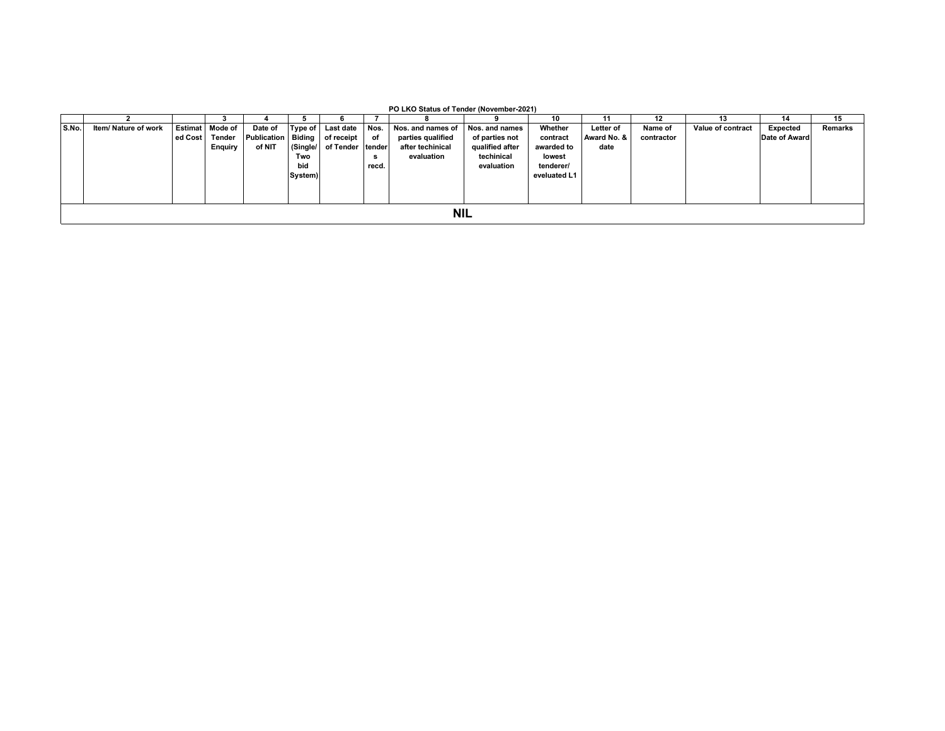|       | PO LKO Status of Tender (November-2021) |  |                   |                                   |         |                     |        |                   |                 |              |             |            |                   |               |                |
|-------|-----------------------------------------|--|-------------------|-----------------------------------|---------|---------------------|--------|-------------------|-----------------|--------------|-------------|------------|-------------------|---------------|----------------|
|       | 15<br>12<br>10<br>14                    |  |                   |                                   |         |                     |        |                   |                 |              |             |            |                   |               |                |
| S.No. | Item/ Nature of work                    |  | Estimat   Mode of | Date of                           |         | Type of   Last date | Nos.   | Nos. and names of | Nos. and names  | Whether      | Letter of   | Name of    | Value of contract | Expected      | <b>Remarks</b> |
|       |                                         |  | ed Cost   Tender  | Publication   Biding   of receipt |         |                     | of     | parties qualified | of parties not  | contract     | Award No. & | contractor |                   | Date of Award |                |
|       |                                         |  | <b>Enquiry</b>    | of NIT                            |         | (Single/ of Tender  | tender | after techinical  | qualified after | awarded to   | date        |            |                   |               |                |
|       |                                         |  |                   |                                   | Two     |                     | s      | evaluation        | techinical      | lowest       |             |            |                   |               |                |
|       |                                         |  |                   |                                   | bid     |                     | recd.  |                   | evaluation      | tenderer/    |             |            |                   |               |                |
|       |                                         |  |                   |                                   | System) |                     |        |                   |                 | eveluated L1 |             |            |                   |               |                |
|       |                                         |  |                   |                                   |         |                     |        |                   |                 |              |             |            |                   |               |                |
|       |                                         |  |                   |                                   |         |                     |        |                   |                 |              |             |            |                   |               |                |
|       |                                         |  |                   |                                   |         |                     |        |                   |                 |              |             |            |                   |               |                |
|       |                                         |  |                   |                                   |         |                     |        | <b>NIL</b>        |                 |              |             |            |                   |               |                |
|       |                                         |  |                   |                                   |         |                     |        |                   |                 |              |             |            |                   |               |                |